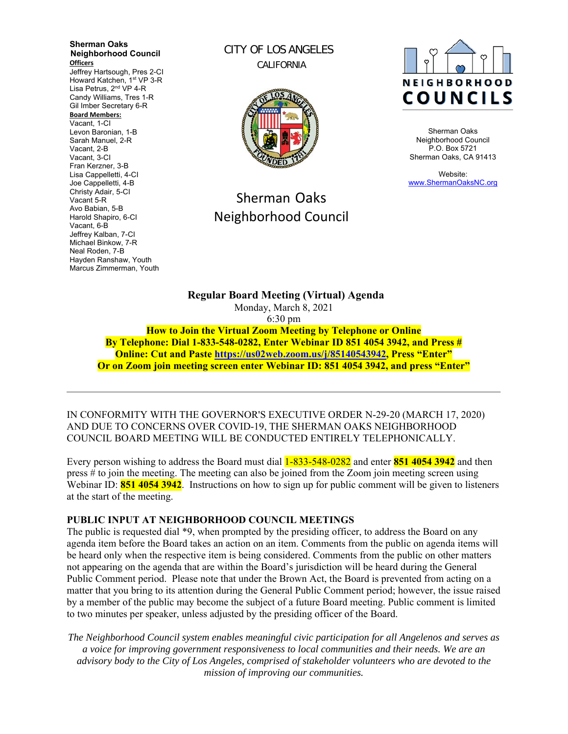**Sherman Oaks Neighborhood Council Officers**  Jeffrey Hartsough, Pres 2-CI Howard Katchen, 1<sup>st</sup> VP 3-R Lisa Petrus, 2<sup>nd</sup> VP 4-R Candy Williams, Tres 1-R Gil Imber Secretary 6-R **Board Members:** Vacant, 1-CI Levon Baronian, 1-B Sarah Manuel, 2-R Vacant, 2-B Vacant, 3-CI Fran Kerzner, 3-B Lisa Cappelletti, 4-CI Joe Cappelletti, 4-B Christy Adair, 5-CI Vacant 5-R Avo Babian, 5-B Harold Shapiro, 6-CI Vacant, 6-B Jeffrey Kalban, 7-CI Michael Binkow, 7-R Neal Roden, 7-B Hayden Ranshaw, Youth Marcus Zimmerman, Youth

CITY OF LOS ANGELES CALIFORNIA



# Sherman Oaks Neighborhood Council



Sherman Oaks Neighborhood Council P.O. Box 5721 Sherman Oaks, CA 91413

Website: www.ShermanOaksNC.org

**Regular Board Meeting (Virtual) Agenda**  Monday, March 8, 2021 6:30 pm **How to Join the Virtual Zoom Meeting by Telephone or Online By Telephone: Dial 1-833-548-0282, Enter Webinar ID 851 4054 3942, and Press #** 

**Online: Cut and Paste https://us02web.zoom.us/j/85140543942, Press "Enter" Or on Zoom join meeting screen enter Webinar ID: 851 4054 3942, and press "Enter"** 

IN CONFORMITY WITH THE GOVERNOR'S EXECUTIVE ORDER N-29-20 (MARCH 17, 2020) AND DUE TO CONCERNS OVER COVID-19, THE SHERMAN OAKS NEIGHBORHOOD COUNCIL BOARD MEETING WILL BE CONDUCTED ENTIRELY TELEPHONICALLY.

Every person wishing to address the Board must dial 1-833-548-0282 and enter **851 4054 3942** and then press # to join the meeting. The meeting can also be joined from the Zoom join meeting screen using Webinar ID: **851 4054 3942**. Instructions on how to sign up for public comment will be given to listeners at the start of the meeting.

#### **PUBLIC INPUT AT NEIGHBORHOOD COUNCIL MEETINGS**

The public is requested dial \*9, when prompted by the presiding officer, to address the Board on any agenda item before the Board takes an action on an item. Comments from the public on agenda items will be heard only when the respective item is being considered. Comments from the public on other matters not appearing on the agenda that are within the Board's jurisdiction will be heard during the General Public Comment period. Please note that under the Brown Act, the Board is prevented from acting on a matter that you bring to its attention during the General Public Comment period; however, the issue raised by a member of the public may become the subject of a future Board meeting. Public comment is limited to two minutes per speaker, unless adjusted by the presiding officer of the Board.

*The Neighborhood Council system enables meaningful civic participation for all Angelenos and serves as a voice for improving government responsiveness to local communities and their needs. We are an advisory body to the City of Los Angeles, comprised of stakeholder volunteers who are devoted to the mission of improving our communities.*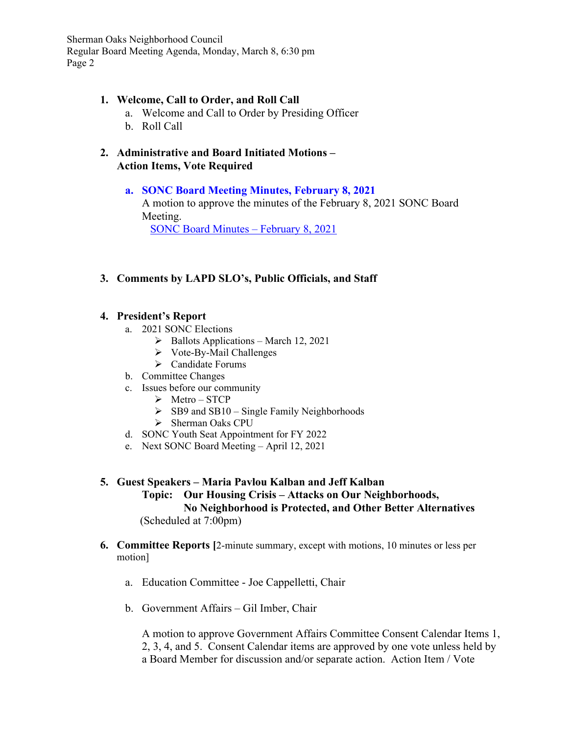#### **1. Welcome, Call to Order, and Roll Call**

- a. Welcome and Call to Order by Presiding Officer
- b. Roll Call
- **2. Administrative and Board Initiated Motions Action Items, Vote Required**

# **a. SONC Board Meeting Minutes, February 8, 2021**

A motion to approve the minutes of the February 8, 2021 SONC Board Meeting.

SONC Board Minutes – February 8, 2021

# **3. Comments by LAPD SLO's, Public Officials, and Staff**

## **4. President's Report**

- a. 2021 SONC Elections
	- $\triangleright$  Ballots Applications March 12, 2021
	- $\triangleright$  Vote-By-Mail Challenges
	- Candidate Forums
- b. Committee Changes
- c. Issues before our community
	- $\triangleright$  Metro STCP
	- $\triangleright$  SB9 and SB10 Single Family Neighborhoods
	- > Sherman Oaks CPU
- d. SONC Youth Seat Appointment for FY 2022
- e. Next SONC Board Meeting April 12, 2021

### **5. Guest Speakers – Maria Pavlou Kalban and Jeff Kalban Topic: Our Housing Crisis – Attacks on Our Neighborhoods, No Neighborhood is Protected, and Other Better Alternatives** (Scheduled at 7:00pm)

#### **6. Committee Reports [**2-minute summary, except with motions, 10 minutes or less per motion]

- a. Education Committee Joe Cappelletti, Chair
- b. Government Affairs Gil Imber, Chair

A motion to approve Government Affairs Committee Consent Calendar Items 1, 2, 3, 4, and 5. Consent Calendar items are approved by one vote unless held by a Board Member for discussion and/or separate action. Action Item / Vote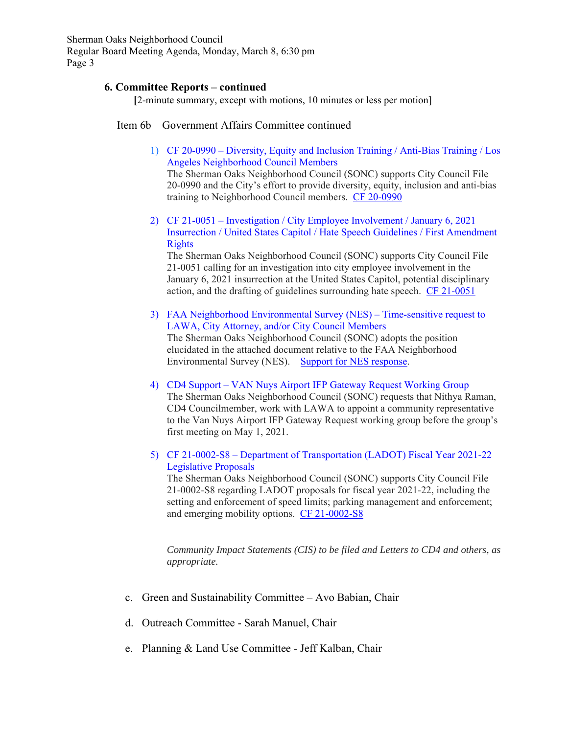#### **6. Committee Reports – continued**

 **[**2-minute summary, except with motions, 10 minutes or less per motion]

Item 6b – Government Affairs Committee continued

1) CF 20-0990 – Diversity, Equity and Inclusion Training / Anti-Bias Training / Los Angeles Neighborhood Council Members The Sherman Oaks Neighborhood Council (SONC) supports City Council File 20-0990 and the City's effort to provide diversity, equity, inclusion and anti-bias

training to Neighborhood Council members. CF 20-0990

2) CF 21-0051 – Investigation / City Employee Involvement / January 6, 2021 Insurrection / United States Capitol / Hate Speech Guidelines / First Amendment Rights

The Sherman Oaks Neighborhood Council (SONC) supports City Council File 21-0051 calling for an investigation into city employee involvement in the January 6, 2021 insurrection at the United States Capitol, potential disciplinary action, and the drafting of guidelines surrounding hate speech. CF 21-0051

- 3) FAA Neighborhood Environmental Survey (NES) Time-sensitive request to LAWA, City Attorney, and/or City Council Members The Sherman Oaks Neighborhood Council (SONC) adopts the position elucidated in the attached document relative to the FAA Neighborhood Environmental Survey (NES). Support for NES response.
- 4) CD4 Support VAN Nuys Airport IFP Gateway Request Working Group The Sherman Oaks Neighborhood Council (SONC) requests that Nithya Raman, CD4 Councilmember, work with LAWA to appoint a community representative to the Van Nuys Airport IFP Gateway Request working group before the group's first meeting on May 1, 2021.
- 5) CF 21-0002-S8 Department of Transportation (LADOT) Fiscal Year 2021-22 Legislative Proposals

The Sherman Oaks Neighborhood Council (SONC) supports City Council File 21-0002-S8 regarding LADOT proposals for fiscal year 2021-22, including the setting and enforcement of speed limits; parking management and enforcement; and emerging mobility options. CF 21-0002-S8

*Community Impact Statements (CIS) to be filed and Letters to CD4 and others, as appropriate.*

- c. Green and Sustainability Committee Avo Babian, Chair
- d. Outreach Committee Sarah Manuel, Chair
- e. Planning & Land Use Committee Jeff Kalban, Chair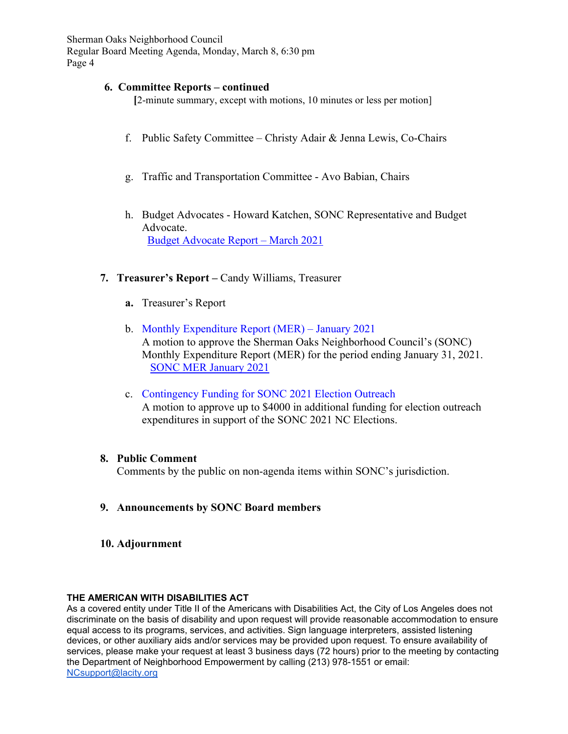#### **6. Committee Reports – continued**

 **[**2-minute summary, except with motions, 10 minutes or less per motion]

- f. Public Safety Committee Christy Adair & Jenna Lewis, Co-Chairs
- g. Traffic and Transportation Committee Avo Babian, Chairs
- h. Budget Advocates Howard Katchen, SONC Representative and Budget Advocate. Budget Advocate Report – March 2021

#### **7. Treasurer's Report –** Candy Williams, Treasurer

- **a.** Treasurer's Report
- b. Monthly Expenditure Report (MER) January 2021 A motion to approve the Sherman Oaks Neighborhood Council's (SONC) Monthly Expenditure Report (MER) for the period ending January 31, 2021. SONC MER January 2021
- c. Contingency Funding for SONC 2021 Election Outreach A motion to approve up to \$4000 in additional funding for election outreach expenditures in support of the SONC 2021 NC Elections.

#### **8. Public Comment**

Comments by the public on non-agenda items within SONC's jurisdiction.

- **9. Announcements by SONC Board members**
- **10. Adjournment**

#### **THE AMERICAN WITH DISABILITIES ACT**

As a covered entity under Title II of the Americans with Disabilities Act, the City of Los Angeles does not discriminate on the basis of disability and upon request will provide reasonable accommodation to ensure equal access to its programs, services, and activities. Sign language interpreters, assisted listening devices, or other auxiliary aids and/or services may be provided upon request. To ensure availability of services, please make your request at least 3 business days (72 hours) prior to the meeting by contacting the Department of Neighborhood Empowerment by calling (213) 978-1551 or email: NCsupport@lacity.org